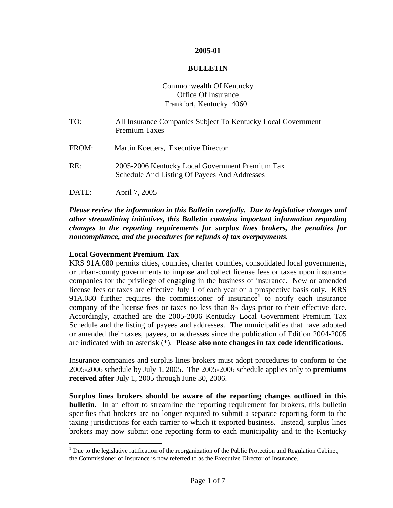#### **2005-01**

#### **BULLETIN**

# Commonwealth Of Kentucky Office Of Insurance Frankfort, Kentucky 40601

TO: All Insurance Companies Subject To Kentucky Local Government Premium Taxes FROM: Martin Koetters, Executive Director RE: 2005-2006 Kentucky Local Government Premium Tax Schedule And Listing Of Payees And Addresses DATE: April 7, 2005

# *Please review the information in this Bulletin carefully. Due to legislative changes and other streamlining initiatives, this Bulletin contains important information regarding changes to the reporting requirements for surplus lines brokers, the penalties for*

*noncompliance, and the procedures for refunds of tax overpayments.* 

# **Local Government Premium Tax**

 $\overline{a}$ 

KRS 91A.080 permits cities, counties, charter counties, consolidated local governments, or urban-county governments to impose and collect license fees or taxes upon insurance companies for the privilege of engaging in the business of insurance. New or amended license fees or taxes are effective July 1 of each year on a prospective basis only. KRS 9[1](#page-0-0)A.080 further requires the commissioner of insurance to notify each insurance company of the license fees or taxes no less than 85 days prior to their effective date. Accordingly, attached are the 2005-2006 Kentucky Local Government Premium Tax Schedule and the listing of payees and addresses. The municipalities that have adopted or amended their taxes, payees, or addresses since the publication of Edition 2004-2005 are indicated with an asterisk (\*). **Please also note changes in tax code identifications.**

Insurance companies and surplus lines brokers must adopt procedures to conform to the 2005-2006 schedule by July 1, 2005. The 2005-2006 schedule applies only to **premiums received after** July 1, 2005 through June 30, 2006.

**Surplus lines brokers should be aware of the reporting changes outlined in this bulletin.** In an effort to streamline the reporting requirement for brokers, this bulletin specifies that brokers are no longer required to submit a separate reporting form to the taxing jurisdictions for each carrier to which it exported business. Instead, surplus lines brokers may now submit one reporting form to each municipality and to the Kentucky

<span id="page-0-0"></span> $1$  Due to the legislative ratification of the reorganization of the Public Protection and Regulation Cabinet, the Commissioner of Insurance is now referred to as the Executive Director of Insurance.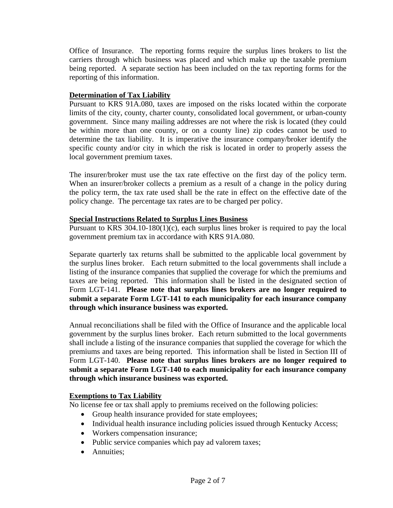Office of Insurance. The reporting forms require the surplus lines brokers to list the carriers through which business was placed and which make up the taxable premium being reported. A separate section has been included on the tax reporting forms for the reporting of this information.

# **Determination of Tax Liability**

Pursuant to KRS 91A.080, taxes are imposed on the risks located within the corporate limits of the city, county, charter county, consolidated local government, or urban-county government. Since many mailing addresses are not where the risk is located (they could be within more than one county, or on a county line) zip codes cannot be used to determine the tax liability. It is imperative the insurance company/broker identify the specific county and/or city in which the risk is located in order to properly assess the local government premium taxes.

The insurer/broker must use the tax rate effective on the first day of the policy term. When an insurer/broker collects a premium as a result of a change in the policy during the policy term, the tax rate used shall be the rate in effect on the effective date of the policy change. The percentage tax rates are to be charged per policy.

# **Special Instructions Related to Surplus Lines Business**

Pursuant to KRS 304.10-180(1)(c), each surplus lines broker is required to pay the local government premium tax in accordance with KRS 91A.080.

Separate quarterly tax returns shall be submitted to the applicable local government by the surplus lines broker. Each return submitted to the local governments shall include a listing of the insurance companies that supplied the coverage for which the premiums and taxes are being reported. This information shall be listed in the designated section of Form LGT-141. **Please note that surplus lines brokers are no longer required to submit a separate Form LGT-141 to each municipality for each insurance company through which insurance business was exported.**

Annual reconciliations shall be filed with the Office of Insurance and the applicable local government by the surplus lines broker. Each return submitted to the local governments shall include a listing of the insurance companies that supplied the coverage for which the premiums and taxes are being reported. This information shall be listed in Section III of Form LGT-140. **Please note that surplus lines brokers are no longer required to submit a separate Form LGT-140 to each municipality for each insurance company through which insurance business was exported.**

# **Exemptions to Tax Liability**

No license fee or tax shall apply to premiums received on the following policies:

- Group health insurance provided for state employees;
- Individual health insurance including policies issued through Kentucky Access;
- Workers compensation insurance;
- Public service companies which pay ad valorem taxes;
- Annuities: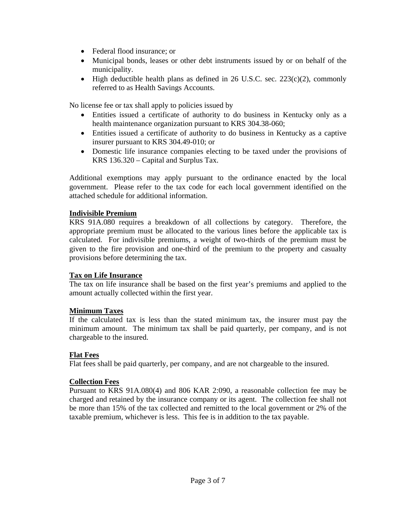- Federal flood insurance; or
- Municipal bonds, leases or other debt instruments issued by or on behalf of the municipality.
- High deductible health plans as defined in 26 U.S.C. sec.  $223(c)(2)$ , commonly referred to as Health Savings Accounts.

No license fee or tax shall apply to policies issued by

- Entities issued a certificate of authority to do business in Kentucky only as a health maintenance organization pursuant to KRS 304.38-060;
- Entities issued a certificate of authority to do business in Kentucky as a captive insurer pursuant to KRS 304.49-010; or
- Domestic life insurance companies electing to be taxed under the provisions of KRS 136.320 – Capital and Surplus Tax.

Additional exemptions may apply pursuant to the ordinance enacted by the local government. Please refer to the tax code for each local government identified on the attached schedule for additional information.

## **Indivisible Premium**

KRS 91A.080 requires a breakdown of all collections by category. Therefore, the appropriate premium must be allocated to the various lines before the applicable tax is calculated. For indivisible premiums, a weight of two-thirds of the premium must be given to the fire provision and one-third of the premium to the property and casualty provisions before determining the tax.

#### **Tax on Life Insurance**

The tax on life insurance shall be based on the first year's premiums and applied to the amount actually collected within the first year.

#### **Minimum Taxes**

If the calculated tax is less than the stated minimum tax, the insurer must pay the minimum amount. The minimum tax shall be paid quarterly, per company, and is not chargeable to the insured.

#### **Flat Fees**

Flat fees shall be paid quarterly, per company, and are not chargeable to the insured.

#### **Collection Fees**

Pursuant to KRS 91A.080(4) and 806 KAR 2:090, a reasonable collection fee may be charged and retained by the insurance company or its agent. The collection fee shall not be more than 15% of the tax collected and remitted to the local government or 2% of the taxable premium, whichever is less. This fee is in addition to the tax payable.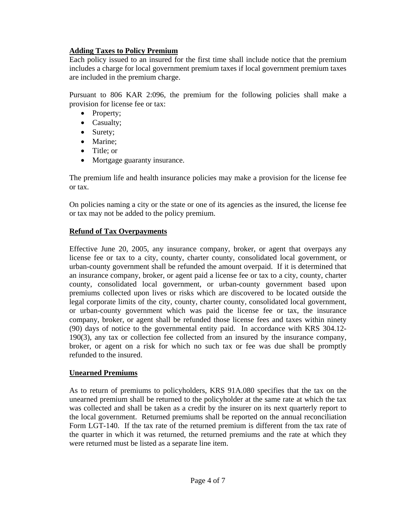# **Adding Taxes to Policy Premium**

Each policy issued to an insured for the first time shall include notice that the premium includes a charge for local government premium taxes if local government premium taxes are included in the premium charge.

Pursuant to 806 KAR 2:096, the premium for the following policies shall make a provision for license fee or tax:

- Property;
- Casualty;
- Surety;
- Marine;
- Title: or
- Mortgage guaranty insurance.

The premium life and health insurance policies may make a provision for the license fee or tax.

On policies naming a city or the state or one of its agencies as the insured, the license fee or tax may not be added to the policy premium.

# **Refund of Tax Overpayments**

Effective June 20, 2005, any insurance company, broker, or agent that overpays any license fee or tax to a city, county, charter county, consolidated local government, or urban-county government shall be refunded the amount overpaid. If it is determined that an insurance company, broker, or agent paid a license fee or tax to a city, county, charter county, consolidated local government, or urban-county government based upon premiums collected upon lives or risks which are discovered to be located outside the legal corporate limits of the city, county, charter county, consolidated local government, or urban-county government which was paid the license fee or tax, the insurance company, broker, or agent shall be refunded those license fees and taxes within ninety (90) days of notice to the governmental entity paid. In accordance with KRS 304.12- 190(3), any tax or collection fee collected from an insured by the insurance company, broker, or agent on a risk for which no such tax or fee was due shall be promptly refunded to the insured.

# **Unearned Premiums**

As to return of premiums to policyholders, KRS 91A.080 specifies that the tax on the unearned premium shall be returned to the policyholder at the same rate at which the tax was collected and shall be taken as a credit by the insurer on its next quarterly report to the local government. Returned premiums shall be reported on the annual reconciliation Form LGT-140. If the tax rate of the returned premium is different from the tax rate of the quarter in which it was returned, the returned premiums and the rate at which they were returned must be listed as a separate line item.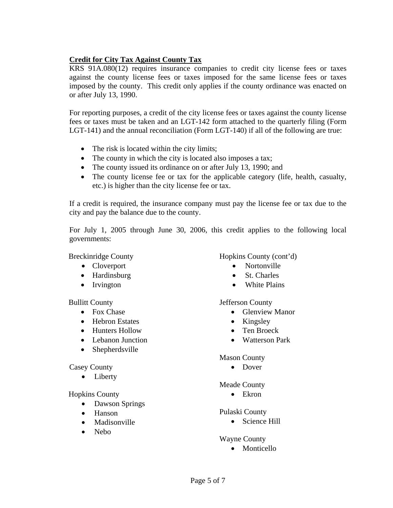# **Credit for City Tax Against County Tax**

KRS 91A.080(12) requires insurance companies to credit city license fees or taxes against the county license fees or taxes imposed for the same license fees or taxes imposed by the county. This credit only applies if the county ordinance was enacted on or after July 13, 1990.

For reporting purposes, a credit of the city license fees or taxes against the county license fees or taxes must be taken and an LGT-142 form attached to the quarterly filing (Form LGT-141) and the annual reconciliation (Form LGT-140) if all of the following are true:

- The risk is located within the city limits;
- The county in which the city is located also imposes a tax;
- The county issued its ordinance on or after July 13, 1990; and
- The county license fee or tax for the applicable category (life, health, casualty, etc.) is higher than the city license fee or tax.

If a credit is required, the insurance company must pay the license fee or tax due to the city and pay the balance due to the county.

For July 1, 2005 through June 30, 2006, this credit applies to the following local governments:

Breckinridge County

- Cloverport
- Hardinsburg
- Irvington

Bullitt County

- Fox Chase
- Hebron Estates
- Hunters Hollow
- Lebanon Junction
- Shepherdsville

#### Casey County

• Liberty

Hopkins County

- Dawson Springs
- Hanson
- Madisonville
- Nebo

# Hopkins County (cont'd)

- Nortonville
- St. Charles
- White Plains

#### Jefferson County

- Glenview Manor
- Kingsley
- Ten Broeck
- Watterson Park

#### Mason County

• Dover

#### Meade County

• Ekron

#### Pulaski County

• Science Hill

#### Wayne County

• Monticello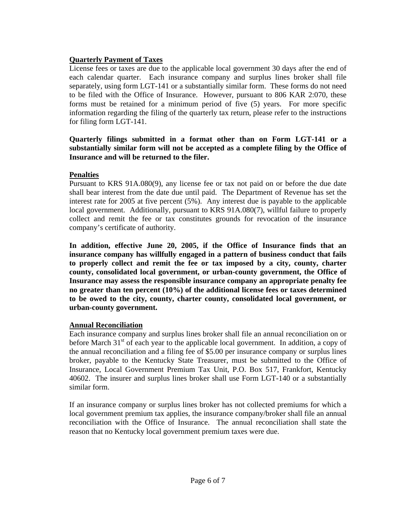# **Quarterly Payment of Taxes**

License fees or taxes are due to the applicable local government 30 days after the end of each calendar quarter. Each insurance company and surplus lines broker shall file separately, using form LGT-141 or a substantially similar form. These forms do not need to be filed with the Office of Insurance. However, pursuant to 806 KAR 2:070, these forms must be retained for a minimum period of five (5) years. For more specific information regarding the filing of the quarterly tax return, please refer to the instructions for filing form LGT-141.

# **Quarterly filings submitted in a format other than on Form LGT-141 or a substantially similar form will not be accepted as a complete filing by the Office of Insurance and will be returned to the filer.**

## **Penalties**

Pursuant to KRS 91A.080(9), any license fee or tax not paid on or before the due date shall bear interest from the date due until paid. The Department of Revenue has set the interest rate for 2005 at five percent (5%). Any interest due is payable to the applicable local government. Additionally, pursuant to KRS 91A.080(7), willful failure to properly collect and remit the fee or tax constitutes grounds for revocation of the insurance company's certificate of authority.

**In addition, effective June 20, 2005, if the Office of Insurance finds that an insurance company has willfully engaged in a pattern of business conduct that fails to properly collect and remit the fee or tax imposed by a city, county, charter county, consolidated local government, or urban-county government, the Office of Insurance may assess the responsible insurance company an appropriate penalty fee no greater than ten percent (10%) of the additional license fees or taxes determined to be owed to the city, county, charter county, consolidated local government, or urban-county government.** 

#### **Annual Reconciliation**

Each insurance company and surplus lines broker shall file an annual reconciliation on or before March 31<sup>st</sup> of each year to the applicable local government. In addition, a copy of the annual reconciliation and a filing fee of \$5.00 per insurance company or surplus lines broker, payable to the Kentucky State Treasurer, must be submitted to the Office of Insurance, Local Government Premium Tax Unit, P.O. Box 517, Frankfort, Kentucky 40602. The insurer and surplus lines broker shall use Form LGT-140 or a substantially similar form.

If an insurance company or surplus lines broker has not collected premiums for which a local government premium tax applies, the insurance company/broker shall file an annual reconciliation with the Office of Insurance. The annual reconciliation shall state the reason that no Kentucky local government premium taxes were due.